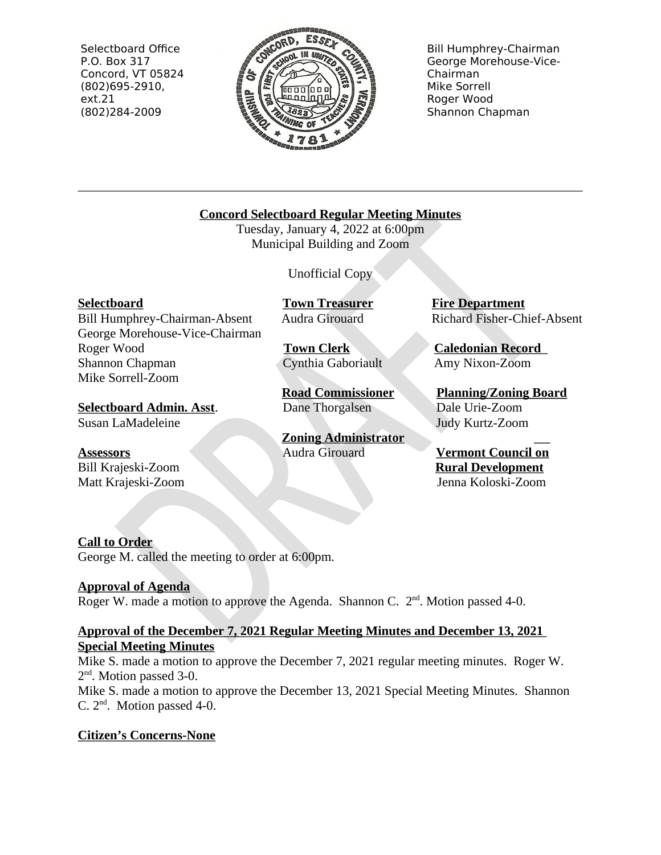Selectboard Office P.O. Box 317 Concord, VT 05824  $(802)695-2910,$  $ext.21$ (802)284-2009



**Bill Humphrey-Chairman** George Morehouse-Vice-Chairman Mike Sorrell Roger Wood Shannon Chapman

## **Concord Selectboard Regular Meeting Minutes**

Tuesday, January 4, 2022 at 6:00pm Municipal Building and Zoom

**Unofficial Copy** 

**Selectboard** 

Bill Humphrey-Chairman-Absent George Morehouse-Vice-Chairman Roger Wood Shannon Chapman Mike Sorrell-Zoom

**Selectboard Admin. Asst.** Susan LaMadeleine

## **Assessors**

Bill Krajeski-Zoom Matt Krajeski-Zoom

**Town Treasurer** Audra Girouard

**Town Clerk** Cynthia Gaboriault

**Road Commissioner** Dane Thorgalsen

**Zoning Administrator** Audra Girouard

**Fire Department** Richard Fisher-Chief-Absent

**Caledonian Record** Amy Nixon-Zoom

**Planning/Zoning Board** Dale Urie-Zoom Judy Kurtz-Zoom

**Vermont Council on Rural Development** Jenna Koloski-Zoom

# **Call to Order**

George M. called the meeting to order at 6:00pm.

## **Approval of Agenda**

Roger W. made a motion to approve the Agenda. Shannon C.  $2<sup>nd</sup>$ . Motion passed 4-0.

## Approval of the December 7, 2021 Regular Meeting Minutes and December 13, 2021 **Special Meeting Minutes**

Mike S. made a motion to approve the December 7, 2021 regular meeting minutes. Roger W.  $2<sup>nd</sup>$ . Motion passed 3-0.

Mike S. made a motion to approve the December 13, 2021 Special Meeting Minutes. Shannon C.  $2<sup>nd</sup>$ . Motion passed 4-0.

# **Citizen's Concerns-None**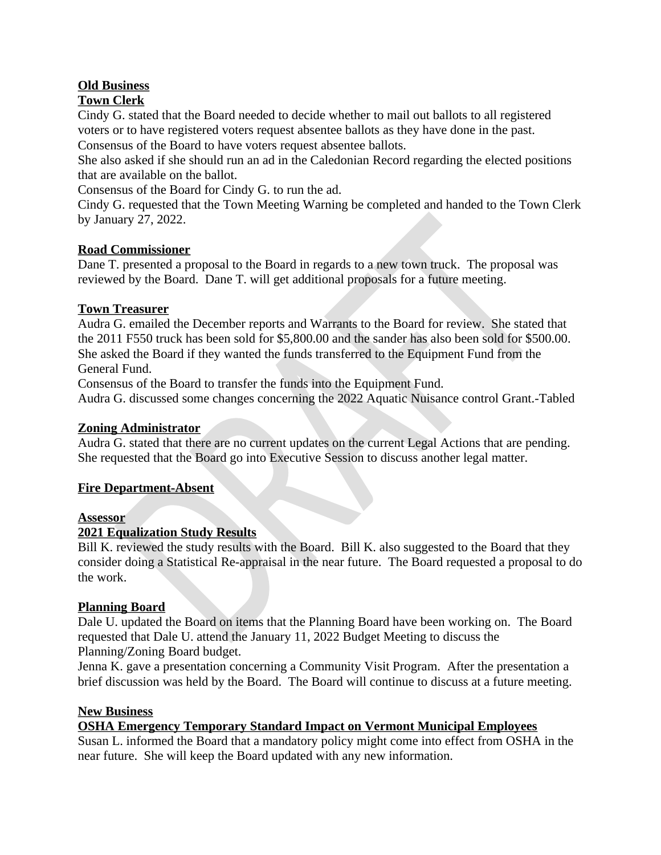# **Old Business**

## **Town Clerk**

Cindy G. stated that the Board needed to decide whether to mail out ballots to all registered voters or to have registered voters request absentee ballots as they have done in the past.

Consensus of the Board to have voters request absentee ballots.

She also asked if she should run an ad in the Caledonian Record regarding the elected positions that are available on the ballot.

Consensus of the Board for Cindy G. to run the ad.

Cindy G. requested that the Town Meeting Warning be completed and handed to the Town Clerk by January 27, 2022.

### **Road Commissioner**

Dane T. presented a proposal to the Board in regards to a new town truck. The proposal was reviewed by the Board. Dane T. will get additional proposals for a future meeting.

#### **Town Treasurer**

Audra G. emailed the December reports and Warrants to the Board for review. She stated that the 2011 F550 truck has been sold for \$5,800.00 and the sander has also been sold for \$500.00. She asked the Board if they wanted the funds transferred to the Equipment Fund from the General Fund.

Consensus of the Board to transfer the funds into the Equipment Fund.

Audra G. discussed some changes concerning the 2022 Aquatic Nuisance control Grant.-Tabled

#### **Zoning Administrator**

Audra G. stated that there are no current updates on the current Legal Actions that are pending. She requested that the Board go into Executive Session to discuss another legal matter.

### **Fire Department-Absent**

#### **Assessor**

### **2021 Equalization Study Results**

Bill K, reviewed the study results with the Board. Bill K, also suggested to the Board that they consider doing a Statistical Re-appraisal in the near future. The Board requested a proposal to do the work.

#### **Planning Board**

Dale U. updated the Board on items that the Planning Board have been working on. The Board requested that Dale U. attend the January 11, 2022 Budget Meeting to discuss the Planning/Zoning Board budget.

Jenna K. gave a presentation concerning a Community Visit Program. After the presentation a brief discussion was held by the Board. The Board will continue to discuss at a future meeting.

### **New Business**

### **OSHA Emergency Temporary Standard Impact on Vermont Municipal Employees**

Susan L. informed the Board that a mandatory policy might come into effect from OSHA in the near future. She will keep the Board updated with any new information.